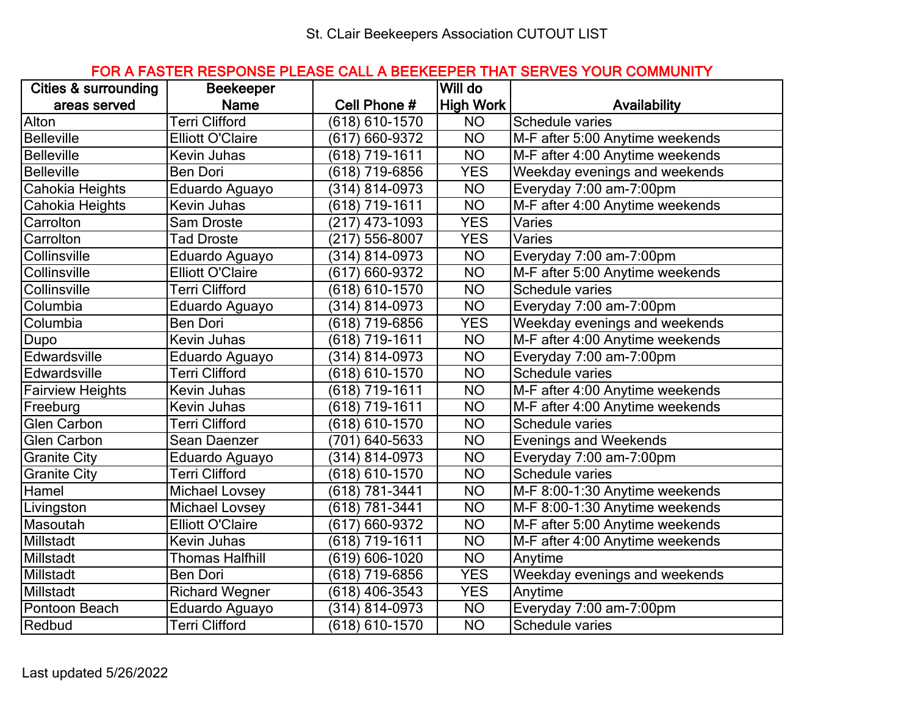## FOR A FASTER RESPONSE PLEASE CALL A BEEKEEPER THAT SERVES YOUR COMMUNITY

| <b>Cities &amp; surrounding</b> | <b>Beekeeper</b>        |                    | Will do          |                                 |
|---------------------------------|-------------------------|--------------------|------------------|---------------------------------|
| areas served                    | <b>Name</b>             | Cell Phone #       | <b>High Work</b> | Availability                    |
| Alton                           | <b>Terri Clifford</b>   | (618) 610-1570     | <b>NO</b>        | Schedule varies                 |
| Belleville                      | <b>Elliott O'Claire</b> | (617) 660-9372     | <b>NO</b>        | M-F after 5:00 Anytime weekends |
| <b>Belleville</b>               | Kevin Juhas             | (618) 719-1611     | <b>NO</b>        | M-F after 4:00 Anytime weekends |
| <b>Belleville</b>               | Ben Dori                | (618) 719-6856     | <b>YES</b>       | Weekday evenings and weekends   |
| Cahokia Heights                 | Eduardo Aguayo          | (314) 814-0973     | <b>NO</b>        | Everyday 7:00 am-7:00pm         |
| Cahokia Heights                 | Kevin Juhas             | (618) 719-1611     | <b>NO</b>        | M-F after 4:00 Anytime weekends |
| Carrolton                       | Sam Droste              | (217) 473-1093     | <b>YES</b>       | Varies                          |
| Carrolton                       | <b>Tad Droste</b>       | (217) 556-8007     | <b>YES</b>       | Varies                          |
| Collinsville                    | Eduardo Aguayo          | (314) 814-0973     | <b>NO</b>        | Everyday 7:00 am-7:00pm         |
| Collinsville                    | <b>Elliott O'Claire</b> | (617) 660-9372     | <b>NO</b>        | M-F after 5:00 Anytime weekends |
| Collinsville                    | <b>Terri Clifford</b>   | (618) 610-1570     | <b>NO</b>        | <b>Schedule varies</b>          |
| Columbia                        | Eduardo Aguayo          | (314) 814-0973     | <b>NO</b>        | Everyday 7:00 am-7:00pm         |
| Columbia                        | <b>Ben Dori</b>         | (618) 719-6856     | <b>YES</b>       | Weekday evenings and weekends   |
| Dupo                            | Kevin Juhas             | (618) 719-1611     | <b>NO</b>        | M-F after 4:00 Anytime weekends |
| Edwardsville                    | Eduardo Aguayo          | (314) 814-0973     | <b>NO</b>        | Everyday 7:00 am-7:00pm         |
| Edwardsville                    | <b>Terri Clifford</b>   | (618) 610-1570     | <b>NO</b>        | Schedule varies                 |
| <b>Fairview Heights</b>         | Kevin Juhas             | (618) 719-1611     | <b>NO</b>        | M-F after 4:00 Anytime weekends |
| Freeburg                        | Kevin Juhas             | (618) 719-1611     | <b>NO</b>        | M-F after 4:00 Anytime weekends |
| <b>Glen Carbon</b>              | Terri Clifford          | (618) 610-1570     | <b>NO</b>        | Schedule varies                 |
| <b>Glen Carbon</b>              | Sean Daenzer            | (701) 640-5633     | <b>NO</b>        | <b>Evenings and Weekends</b>    |
| Granite City                    | Eduardo Aguayo          | (314) 814-0973     | <b>NO</b>        | Everyday 7:00 am-7:00pm         |
| <b>Granite City</b>             | <b>Terri Clifford</b>   | $(618) 610 - 1570$ | <b>NO</b>        | Schedule varies                 |
| Hamel                           | <b>Michael Lovsey</b>   | (618) 781-3441     | <b>NO</b>        | M-F 8:00-1:30 Anytime weekends  |
| Livingston                      | Michael Lovsey          | (618) 781-3441     | <b>NO</b>        | M-F 8:00-1:30 Anytime weekends  |
| Masoutah                        | <b>Elliott O'Claire</b> | (617) 660-9372     | <b>NO</b>        | M-F after 5:00 Anytime weekends |
| Millstadt                       | Kevin Juhas             | (618) 719-1611     | <b>NO</b>        | M-F after 4:00 Anytime weekends |
| Millstadt                       | <b>Thomas Halfhill</b>  | (619) 606-1020     | <b>NO</b>        | Anytime                         |
| Millstadt                       | Ben Dori                | (618) 719-6856     | <b>YES</b>       | Weekday evenings and weekends   |
| Millstadt                       | <b>Richard Wegner</b>   | (618) 406-3543     | <b>YES</b>       | Anytime                         |
| Pontoon Beach                   | Eduardo Aguayo          | (314) 814-0973     | <b>NO</b>        | Everyday 7:00 am-7:00pm         |
| Redbud                          | <b>Terri Clifford</b>   | (618) 610-1570     | <b>NO</b>        | <b>Schedule varies</b>          |